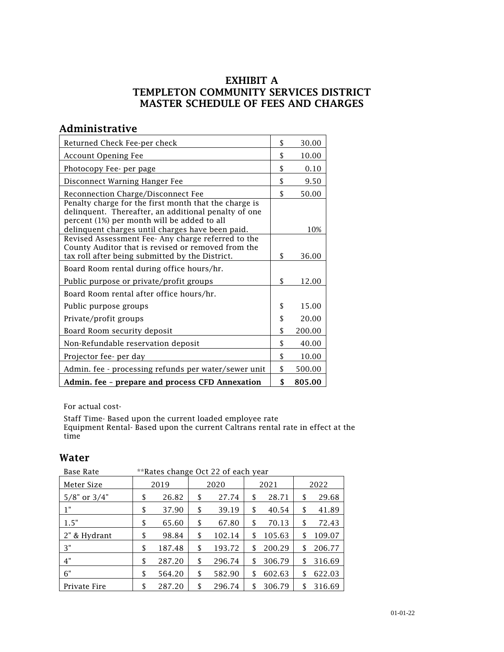#### EXHIBIT A TEMPLETON COMMUNITY SERVICES DISTRICT MASTER SCHEDULE OF FEES AND CHARGES

#### Administrative

| Returned Check Fee-per check                                                                                                                                                                                     | \$<br>30.00  |
|------------------------------------------------------------------------------------------------------------------------------------------------------------------------------------------------------------------|--------------|
| <b>Account Opening Fee</b>                                                                                                                                                                                       | \$<br>10.00  |
| Photocopy Fee- per page                                                                                                                                                                                          | \$<br>0.10   |
| Disconnect Warning Hanger Fee                                                                                                                                                                                    | \$<br>9.50   |
| Reconnection Charge/Disconnect Fee                                                                                                                                                                               | \$<br>50.00  |
| Penalty charge for the first month that the charge is<br>delinquent. Thereafter, an additional penalty of one<br>percent (1%) per month will be added to all<br>delinquent charges until charges have been paid. | 10%          |
| Revised Assessment Fee-Any charge referred to the<br>County Auditor that is revised or removed from the<br>tax roll after being submitted by the District.                                                       | \$<br>36.00  |
| Board Room rental during office hours/hr.                                                                                                                                                                        |              |
| Public purpose or private/profit groups                                                                                                                                                                          | \$<br>12.00  |
| Board Room rental after office hours/hr.                                                                                                                                                                         |              |
| Public purpose groups                                                                                                                                                                                            | \$<br>15.00  |
| Private/profit groups                                                                                                                                                                                            | \$<br>20.00  |
| Board Room security deposit                                                                                                                                                                                      | \$<br>200.00 |
| Non-Refundable reservation deposit                                                                                                                                                                               | \$<br>40.00  |
| Projector fee- per day                                                                                                                                                                                           | \$<br>10.00  |
| Admin. fee - processing refunds per water/sewer unit                                                                                                                                                             | \$<br>500.00 |
| Admin. fee - prepare and process CFD Annexation                                                                                                                                                                  | \$<br>805.00 |

For actual cost-

Staff Time- Based upon the current loaded employee rate Equipment Rental- Based upon the current Caltrans rental rate in effect at the time

#### Water

| **Rates change Oct 22 of each year<br><b>Base Rate</b> |    |        |    |        |    |        |              |
|--------------------------------------------------------|----|--------|----|--------|----|--------|--------------|
| Meter Size                                             |    | 2019   |    | 2020   |    | 2021   | 2022         |
| $5/8$ " or $3/4$ "                                     | \$ | 26.82  | \$ | 27.74  | S  | 28.71  | \$<br>29.68  |
| 1"                                                     | \$ | 37.90  | \$ | 39.19  | \$ | 40.54  | \$<br>41.89  |
| 1.5"                                                   | \$ | 65.60  | \$ | 67.80  | \$ | 70.13  | \$<br>72.43  |
| 2" & Hydrant                                           | \$ | 98.84  | \$ | 102.14 | S  | 105.63 | \$<br>109.07 |
| 3"                                                     | \$ | 187.48 | \$ | 193.72 | S  | 200.29 | \$<br>206.77 |
| 4"                                                     | \$ | 287.20 | \$ | 296.74 | S  | 306.79 | \$<br>316.69 |
| 6"                                                     | \$ | 564.20 | \$ | 582.90 | S  | 602.63 | \$<br>622.03 |
| Private Fire                                           | \$ | 287.20 | \$ | 296.74 | \$ | 306.79 | \$<br>316.69 |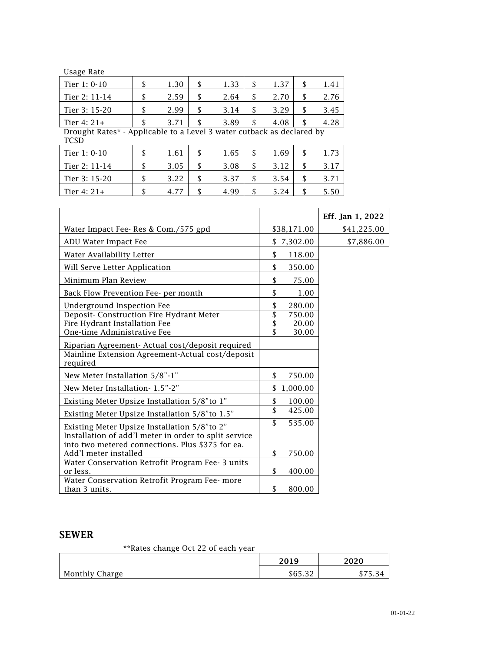| Usage Rate                                                                           |     |      |            |            |    |      |
|--------------------------------------------------------------------------------------|-----|------|------------|------------|----|------|
| Tier 1: 0-10                                                                         | \$  | 1.30 | \$<br>1.33 | \$<br>1.37 | S  | 1.41 |
| Tier 2: 11-14                                                                        | \$  | 2.59 | \$<br>2.64 | \$<br>2.70 | \$ | 2.76 |
| Tier 3: 15-20                                                                        | \$  | 2.99 | \$<br>3.14 | \$<br>3.29 | \$ | 3.45 |
| Tier $4:21+$                                                                         | \$. | 3.71 | \$<br>3.89 | \$<br>4.08 | \$ | 4.28 |
| Drought Rates* - Applicable to a Level 3 water cutback as declared by<br><b>TCSD</b> |     |      |            |            |    |      |
| Tier 1: 0-10                                                                         | \$  | 1.61 | \$<br>1.65 | \$<br>1.69 | \$ | 1.73 |
| Tier 2: 11-14                                                                        | \$  | 3.05 | \$<br>3.08 | \$<br>3.12 | S  | 3.17 |
| Tier 3: 15-20                                                                        | \$  | 3.22 | \$<br>3.37 | \$<br>3.54 | \$ | 3.71 |
| Tier $4:21+$                                                                         | \$  | 4.77 | \$<br>4.99 | \$<br>5.24 |    | 5.50 |

|                                                                                                                  |                              | Eff. Jan 1, 2022 |
|------------------------------------------------------------------------------------------------------------------|------------------------------|------------------|
| Water Impact Fee-Res & Com./575 gpd                                                                              | \$38,171.00                  | \$41,225.00      |
| ADU Water Impact Fee                                                                                             | \$7,302.00                   | \$7,886.00       |
| Water Availability Letter                                                                                        | \$<br>118.00                 |                  |
| Will Serve Letter Application                                                                                    | \$<br>350.00                 |                  |
| Minimum Plan Review                                                                                              | \$<br>75.00                  |                  |
| Back Flow Prevention Fee- per month                                                                              | \$<br>1.00                   |                  |
| Underground Inspection Fee                                                                                       | \$<br>280.00                 |                  |
| Deposit- Construction Fire Hydrant Meter                                                                         | \$<br>750.00                 |                  |
| Fire Hydrant Installation Fee                                                                                    | \$<br>20.00                  |                  |
| One-time Administrative Fee                                                                                      | \$<br>30.00                  |                  |
| Riparian Agreement- Actual cost/deposit required<br>Mainline Extension Agreement-Actual cost/deposit<br>required |                              |                  |
| New Meter Installation 5/8"-1"                                                                                   | \$<br>750.00                 |                  |
| New Meter Installation-1.5"-2"                                                                                   | \$1,000.00                   |                  |
| Existing Meter Upsize Installation 5/8"to 1"                                                                     | \$<br>100.00                 |                  |
| Existing Meter Upsize Installation 5/8" to 1.5"                                                                  | \$<br>425.00                 |                  |
| Existing Meter Upsize Installation 5/8"to 2"                                                                     | $\mathbf{\hat{S}}$<br>535.00 |                  |
| Installation of add'l meter in order to split service<br>into two metered connections. Plus \$375 for ea.        |                              |                  |
| Add'l meter installed                                                                                            | \$<br>750.00                 |                  |
| Water Conservation Retrofit Program Fee- 3 units                                                                 |                              |                  |
| or less.                                                                                                         | \$<br>400.00                 |                  |
| Water Conservation Retrofit Program Fee- more                                                                    |                              |                  |
| than 3 units.                                                                                                    | \$<br>800.00                 |                  |

### SEWER

\*\*Rates change Oct 22 of each year

|                | 2019    | 2020    |
|----------------|---------|---------|
| Monthly Charge | \$65.32 | υı<br>. |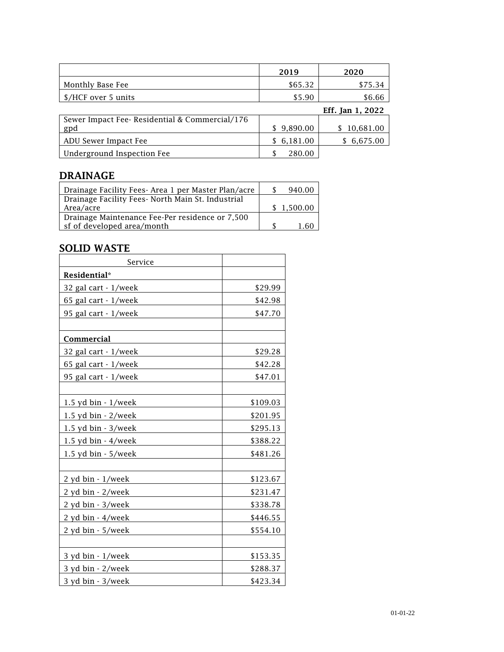|                                                      | 2019           | 2020             |
|------------------------------------------------------|----------------|------------------|
| Monthly Base Fee                                     | \$65.32        | \$75.34          |
| \$/HCF over 5 units                                  | \$5.90         | \$6.66           |
|                                                      |                | Eff. Jan 1, 2022 |
| Sewer Impact Fee-Residential & Commercial/176<br>gpd | \$9,890.00     | 10,681.00<br>S   |
| ADU Sewer Impact Fee                                 | 6,181.00<br>S. | 6,675.00<br>S    |
| Underground Inspection Fee                           | 280.00         |                  |

## DRAINAGE

| Drainage Facility Fees- Area 1 per Master Plan/acre | 940.00     |
|-----------------------------------------------------|------------|
| Drainage Facility Fees- North Main St. Industrial   |            |
| Area/acre                                           | \$1.500.00 |
| Drainage Maintenance Fee-Per residence or 7,500     |            |
| sf of developed area/month                          | 1 60       |

### SOLID WASTE

| Service              |          |
|----------------------|----------|
| Residential*         |          |
| 32 gal cart - 1/week | \$29.99  |
| 65 gal cart - 1/week | \$42.98  |
| 95 gal cart - 1/week | \$47.70  |
|                      |          |
| Commercial           |          |
| 32 gal cart - 1/week | \$29.28  |
| 65 gal cart - 1/week | \$42.28  |
| 95 gal cart - 1/week | \$47.01  |
|                      |          |
| 1.5 yd bin - 1/week  | \$109.03 |
| 1.5 yd bin - 2/week  | \$201.95 |
| 1.5 yd bin - 3/week  | \$295.13 |
| 1.5 yd bin - 4/week  | \$388.22 |
| 1.5 yd bin - 5/week  | \$481.26 |
|                      |          |
| 2 yd bin - 1/week    | \$123.67 |
| 2 yd bin - 2/week    | \$231.47 |
| 2 yd bin - 3/week    | \$338.78 |
| 2 yd bin - 4/week    | \$446.55 |
| 2 yd bin - 5/week    | \$554.10 |
|                      |          |
| 3 yd bin - 1/week    | \$153.35 |
| 3 yd bin - 2/week    | \$288.37 |
| 3 yd bin - 3/week    | \$423.34 |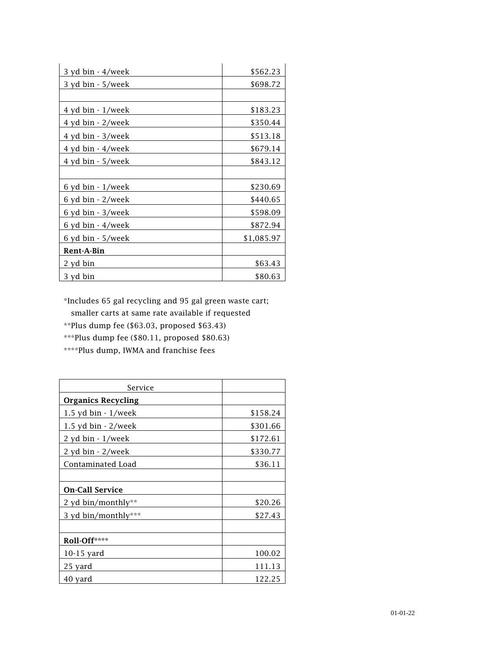| 3 yd bin - 4/week | \$562.23   |
|-------------------|------------|
| 3 yd bin - 5/week | \$698.72   |
|                   |            |
| 4 yd bin - 1/week | \$183.23   |
| 4 yd bin - 2/week | \$350.44   |
| 4 yd bin - 3/week | \$513.18   |
| 4 yd bin - 4/week | \$679.14   |
| 4 yd bin - 5/week | \$843.12   |
|                   |            |
| 6 yd bin - 1/week | \$230.69   |
| 6 yd bin - 2/week | \$440.65   |
| 6 yd bin - 3/week | \$598.09   |
| 6 yd bin - 4/week | \$872.94   |
| 6 yd bin - 5/week | \$1,085.97 |
| Rent-A-Bin        |            |
| 2 yd bin          | \$63.43    |
| 3 yd bin          | \$80.63    |

\*Includes 65 gal recycling and 95 gal green waste cart;

smaller carts at same rate available if requested

\*\*Plus dump fee (\$63.03, proposed \$63.43)

\*\*\*Plus dump fee (\$80.11, proposed \$80.63)

\*\*\*\*Plus dump, IWMA and franchise fees

| Service                   |          |
|---------------------------|----------|
| <b>Organics Recycling</b> |          |
| $1.5$ yd bin - $1$ /week  | \$158.24 |
| 1.5 yd bin - 2/week       | \$301.66 |
| 2 yd bin - 1/week         | \$172.61 |
| 2 yd bin - 2/week         | \$330.77 |
| Contaminated Load         | \$36.11  |
|                           |          |
| <b>On-Call Service</b>    |          |
| 2 yd bin/monthly**        | \$20.26  |
| 3 yd bin/monthly***       | \$27.43  |
|                           |          |
| Roll-Off****              |          |
| $10-15$ yard              | 100.02   |
| 25 yard                   | 111.13   |
| 40 yard                   | 122.25   |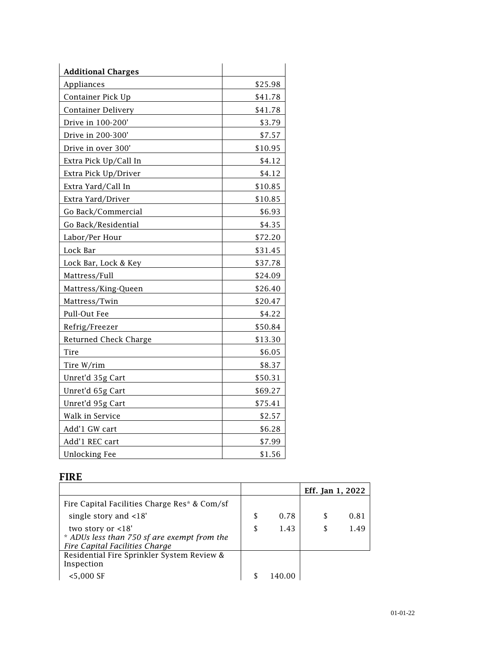| <b>Additional Charges</b> |         |
|---------------------------|---------|
| Appliances                | \$25.98 |
| Container Pick Up         | \$41.78 |
| <b>Container Delivery</b> | \$41.78 |
| Drive in 100-200'         | \$3.79  |
| Drive in 200-300'         | \$7.57  |
| Drive in over 300'        | \$10.95 |
| Extra Pick Up/Call In     | \$4.12  |
| Extra Pick Up/Driver      | \$4.12  |
| Extra Yard/Call In        | \$10.85 |
| Extra Yard/Driver         | \$10.85 |
| Go Back/Commercial        | \$6.93  |
| Go Back/Residential       | \$4.35  |
| Labor/Per Hour            | \$72.20 |
| Lock Bar                  | \$31.45 |
| Lock Bar, Lock & Key      | \$37.78 |
| Mattress/Full             | \$24.09 |
| Mattress/King-Queen       | \$26.40 |
| Mattress/Twin             | \$20.47 |
| Pull-Out Fee              | \$4.22  |
| Refrig/Freezer            | \$50.84 |
| Returned Check Charge     | \$13.30 |
| Tire                      | \$6.05  |
| Tire W/rim                | \$8.37  |
| Unret'd 35g Cart          | \$50.31 |
| Unret'd 65g Cart          | \$69.27 |
| Unret'd 95g Cart          | \$75.41 |
| Walk in Service           | \$2.57  |
| Add'1 GW cart             | \$6.28  |
| Add'1 REC cart            | \$7.99  |
| <b>Unlocking Fee</b>      | \$1.56  |

# FIRE

|                                                                                                      |   |      | Eff. Jan 1, 2022 |      |
|------------------------------------------------------------------------------------------------------|---|------|------------------|------|
| Fire Capital Facilities Charge Res* & Com/sf                                                         |   |      |                  |      |
| single story and $<18'$                                                                              | S | 0.78 |                  | 0.81 |
| two story or $<18'$<br>* ADUs less than 750 sf are exempt from the<br>Fire Capital Facilities Charge | S | 1.43 | S                | 1.49 |
| Residential Fire Sprinkler System Review &<br>Inspection                                             |   |      |                  |      |
| $< 5,000 \text{ SF}$                                                                                 |   |      |                  |      |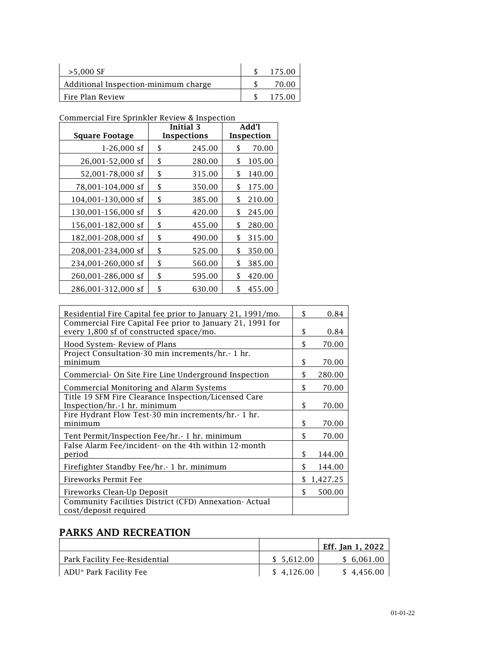| $>5,000$ SF                          | 175.00 |
|--------------------------------------|--------|
| Additional Inspection-minimum charge | 70.00  |
| Fire Plan Review                     | 175.00 |

Commercial Fire Sprinkler Review & Inspection

|                       | <b>Initial 3</b> |        | Add'l      |        |
|-----------------------|------------------|--------|------------|--------|
| <b>Square Footage</b> | Inspections      |        | Inspection |        |
| $1-26,000$ sf         | \$               | 245.00 | \$         | 70.00  |
| 26,001-52,000 sf      | \$               | 280.00 | \$         | 105.00 |
| 52,001-78,000 sf      | \$               | 315.00 | \$         | 140.00 |
| 78,001-104,000 sf     | \$               | 350.00 | S          | 175.00 |
| 104,001-130,000 sf    | \$               | 385.00 | S          | 210.00 |
| 130,001-156,000 sf    | \$               | 420.00 | S          | 245.00 |
| 156,001-182,000 sf    | \$               | 455.00 | \$         | 280.00 |
| 182,001-208,000 sf    | \$               | 490.00 | \$         | 315.00 |
| 208,001-234,000 sf    | \$               | 525.00 | \$         | 350.00 |
| 234,001-260,000 sf    | \$               | 560.00 | \$         | 385.00 |
| 260,001-286,000 sf    | \$               | 595.00 | \$         | 420.00 |
| 286,001-312,000 sf    | \$               | 630.00 | \$         | 455.00 |

| Residential Fire Capital fee prior to January 21, 1991/mo.                                           | S   | 0.84       |
|------------------------------------------------------------------------------------------------------|-----|------------|
| Commercial Fire Capital Fee prior to January 21, 1991 for<br>every 1,800 sf of constructed space/mo. | \$  | 0.84       |
| Hood System- Review of Plans                                                                         | \$  | 70.00      |
| Project Consultation-30 min increments/hr.- 1 hr.<br>minimum                                         | \$  | 70.00      |
| Commercial- On Site Fire Line Underground Inspection                                                 | \$  | 280.00     |
| Commercial Monitoring and Alarm Systems                                                              | \$  | 70.00      |
| Title 19 SFM Fire Clearance Inspection/Licensed Care<br>Inspection/hr.-1 hr. minimum                 | \$. | 70.00      |
| Fire Hydrant Flow Test-30 min increments/hr.- 1 hr.<br>minimum                                       | \$  | 70.00      |
| Tent Permit/Inspection Fee/hr. - 1 hr. minimum                                                       | \$  | 70.00      |
| False Alarm Fee/incident- on the 4th within 12-month<br>period                                       | \$  | 144.00     |
| Firefighter Standby Fee/hr. - 1 hr. minimum                                                          | \$  | 144.00     |
| Fireworks Permit Fee                                                                                 |     | \$1,427.25 |
| Fireworks Clean-Up Deposit                                                                           | \$. | 500.00     |
| Community Facilities District (CFD) Annexation- Actual<br>cost/deposit required                      |     |            |

# PARKS AND RECREATION

|                               |            | Eff. Jan 1, 2022 |
|-------------------------------|------------|------------------|
| Park Facility Fee-Residential | \$5.612.00 | \$ 6,061.00      |
| ADU* Park Facility Fee        | \$4,126.00 | \$4,456.00       |